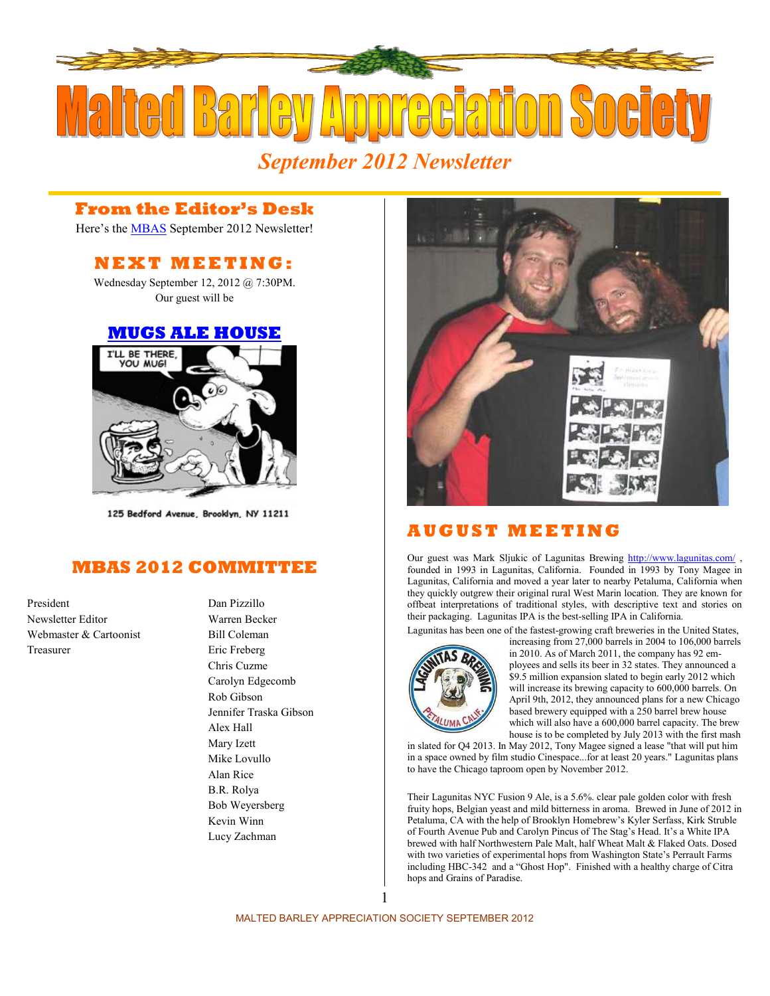

# *September 2012 Newsletter*

# **From the Editor's Desk**

Here's the [MBAS](http://hbd.org/mbas) September 2012 Newsletter!

# **N E X T M E E T I N G :**

Wednesday September 12, 2012 @ 7:30PM. Our guest will be

#### **[MUGS ALE HOUSE](http://www.mugsalehouse.com/)**



125 Bedford Avenue, Brooklyn, NY 11211

# **MBAS 2012 COMMITTEE**

President Dan Pizzillo Newsletter Editor Warren Becker Webmaster & Cartoonist Bill Coleman Treasurer Eric Freberg

Chris Cuzme Carolyn Edgecomb Rob Gibson Jennifer Traska Gibson Alex Hall Mary Izett Mike Lovullo Alan Rice B.R. Rolya Bob Weyersberg Kevin Winn Lucy Zachman



## **A U G U S T M E E T I N G**

Our guest was Mark Sljukic of Lagunitas Brewi[ng http://www.lagunitas.com/](http://www.lagunitas.com/) , founded in 1993 in Lagunitas, California. Founded in 1993 by Tony Magee in Lagunitas, California and moved a year later to nearby Petaluma, California when they quickly outgrew their original rural West Marin location. They are known for offbeat interpretations of traditional styles, with descriptive text and stories on their packaging. Lagunitas IPA is the best-selling IPA in California.

Lagunitas has been one of the fastest-growing craft breweries in the United States,



increasing from 27,000 barrels in 2004 to 106,000 barrels in 2010. As of March 2011, the company has 92 employees and sells its beer in 32 states. They announced a \$9.5 million expansion slated to begin early 2012 which will increase its brewing capacity to 600,000 barrels. On April 9th, 2012, they announced plans for a new Chicago based brewery equipped with a 250 barrel brew house which will also have a 600,000 barrel capacity. The brew

house is to be completed by July 2013 with the first mash in slated for Q4 2013. In May 2012, Tony Magee signed a lease "that will put him in a space owned by film studio Cinespace...for at least 20 years." Lagunitas plans to have the Chicago taproom open by November 2012.

Their Lagunitas NYC Fusion 9 Ale, is a 5.6%. clear pale golden color with fresh fruity hops, Belgian yeast and mild bitterness in aroma. Brewed in June of 2012 in Petaluma, CA with the help of Brooklyn Homebrew's Kyler Serfass, Kirk Struble of Fourth Avenue Pub and Carolyn Pincus of The Stag's Head. It's a White IPA brewed with half Northwestern Pale Malt, half Wheat Malt & Flaked Oats. Dosed with two varieties of experimental hops from Washington State's Perrault Farms including HBC-342 and a "Ghost Hop". Finished with a healthy charge of Citra hops and Grains of Paradise.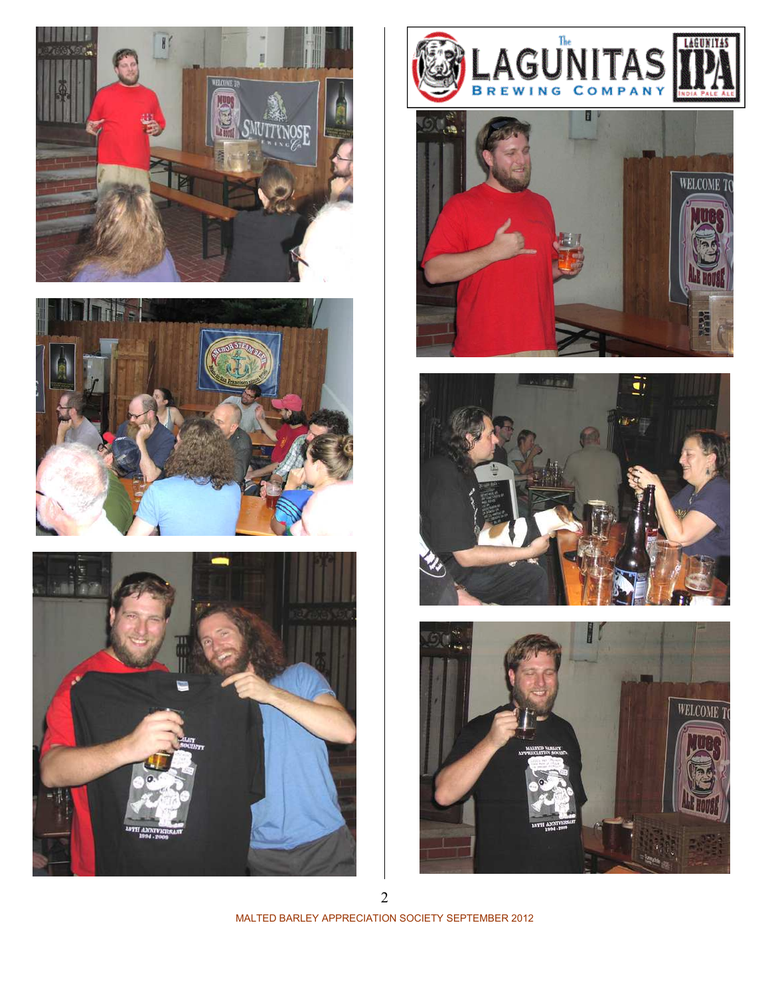













MALTED BARLEY APPRECIATION SOCIETY SEPTEMBER 2012